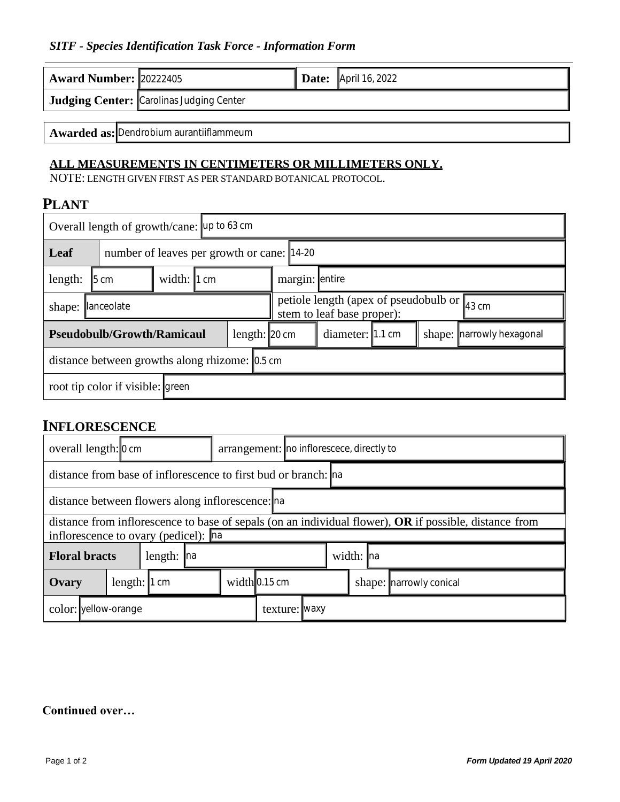#### *SITF - Species Identification Task Force - Information Form*

| <b>Award Number: 20222405</b>           |                                                 |  | <b>Date:</b> April 16, 2022 |  |  |  |  |  |  |  |
|-----------------------------------------|-------------------------------------------------|--|-----------------------------|--|--|--|--|--|--|--|
|                                         | <b>Judging Center:</b> Carolinas Judging Center |  |                             |  |  |  |  |  |  |  |
|                                         |                                                 |  |                             |  |  |  |  |  |  |  |
| Awarded as: Dendrobium aurantiiflammeum |                                                 |  |                             |  |  |  |  |  |  |  |

## **ALL MEASUREMENTS IN CENTIMETERS OR MILLIMETERS ONLY.**

NOTE: LENGTH GIVEN FIRST AS PER STANDARD BOTANICAL PROTOCOL.

### **PLANT**

| Overall length of growth/cane: up to 63 cm         |                                            |                     |  |  |  |                                                                                          |                                               |  |  |  |  |  |
|----------------------------------------------------|--------------------------------------------|---------------------|--|--|--|------------------------------------------------------------------------------------------|-----------------------------------------------|--|--|--|--|--|
| Leaf                                               | number of leaves per growth or cane: 14-20 |                     |  |  |  |                                                                                          |                                               |  |  |  |  |  |
| length:                                            | $ 5 \text{ cm} $                           | width: $\vert$ 1 cm |  |  |  | margin: entire                                                                           |                                               |  |  |  |  |  |
| <b>lanceolate</b><br>shape:                        |                                            |                     |  |  |  | petiole length (apex of pseudobulb or $_{43 \text{ cm}}$ )<br>stem to leaf base proper): |                                               |  |  |  |  |  |
| <b>Pseudobulb/Growth/Ramicaul</b><br>length: 20 cm |                                            |                     |  |  |  |                                                                                          | diameter: 1.1 cm<br>shape: narrowly hexagonal |  |  |  |  |  |
| distance between growths along rhizome: 0.5 cm     |                                            |                     |  |  |  |                                                                                          |                                               |  |  |  |  |  |
| root tip color if visible: green                   |                                            |                     |  |  |  |                                                                                          |                                               |  |  |  |  |  |

## **INFLORESCENCE**

| overall length: 0 cm                                           |                                                                                                        |  |  |  |                       | arrangement: no inflorescece, directly to |  |  |           |                           |  |  |  |
|----------------------------------------------------------------|--------------------------------------------------------------------------------------------------------|--|--|--|-----------------------|-------------------------------------------|--|--|-----------|---------------------------|--|--|--|
| distance from base of inflorescence to first bud or branch: na |                                                                                                        |  |  |  |                       |                                           |  |  |           |                           |  |  |  |
| distance between flowers along inflorescence: na               |                                                                                                        |  |  |  |                       |                                           |  |  |           |                           |  |  |  |
|                                                                | distance from inflorescence to base of sepals (on an individual flower), OR if possible, distance from |  |  |  |                       |                                           |  |  |           |                           |  |  |  |
| inflorescence to ovary (pedicel): na                           |                                                                                                        |  |  |  |                       |                                           |  |  |           |                           |  |  |  |
| <b>Floral bracts</b><br>length: $\ln$                          |                                                                                                        |  |  |  |                       |                                           |  |  | width: na |                           |  |  |  |
| Ovary                                                          | length: $\vert$ 1 cm                                                                                   |  |  |  | width $\vert$ 0.15 cm |                                           |  |  |           | shape:   narrowly conical |  |  |  |
| color: vellow-orange                                           |                                                                                                        |  |  |  |                       | texture: [waxy                            |  |  |           |                           |  |  |  |

#### **Continued over…**